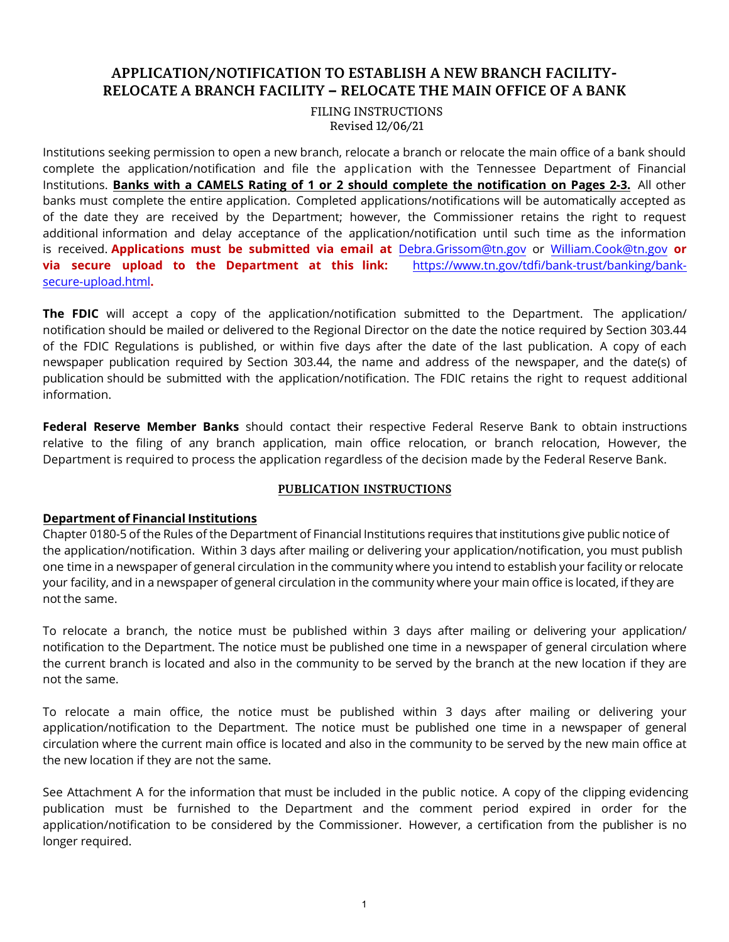# **APPLICATION/NOTIFICATION TO ESTABLISH A NEW BRANCH FACILITY-RELOCATE A BRANCH FACILITY – RELOCATE THE MAIN OFFICE OF A BANK**

FILING INSTRUCTIONS Revised 12/06/21

Institutions seeking permission to open a new branch, relocate a branch or relocate the main office of a bank should complete the application/notification and file the application with the Tennessee Department of Financial Institutions. **Banks with a CAMELS Rating of 1 or 2 should complete the notification on Pages 2-3.** All other banks must complete the entire application. Completed applications/notifications will be automatically accepted as of the date they are received by the Department; however, the Commissioner retains the right to request additional information and delay acceptance of the application/notification until such time as the information is received. **Applications must be submitted via email at** [Debra.Grissom@tn.gov](mailto:Debra.Grissom@tn.gov) or [William.Cook@tn.gov](mailto:William.Cook@tn.gov) **or via secure upload to the Department at this link:** [https://www.tn.gov/tdfi/bank-trust/banking/bank](https://www.tn.gov/tdfi/bank-trust/banking/bank-secure-upload.html)secure-upload.html**.** 

**The FDIC** will accept a copy of the application/notification submitted to the Department. The application/ notification should be mailed or delivered to the Regional Director on the date the notice required by Section 303.44 of the FDIC Regulations is published, or within five days after the date of the last publication. A copy of each newspaper publication required by Section 303.44, the name and address of the newspaper, and the date(s) of publication should be submitted with the application/notification. The FDIC retains the right to request additional information.

**Federal Reserve Member Banks** should contact their respective Federal Reserve Bank to obtain instructions relative to the filing of any branch application, main office relocation, or branch relocation, However, the Department is required to process the application regardless of the decision made by the Federal Reserve Bank.

### **PUBLICATION INSTRUCTIONS**

# **Department of Financial Institutions**

Chapter 0180-5 of the Rules of the Department of Financial Institutions requires that institutions give public notice of the application/notification. Within 3 days after mailing or delivering your application/notification, you must publish one time in a newspaper of general circulation in the community where you intend to establish your facility or relocate your facility, and in a newspaper of general circulation in the community where your main office is located, if they are not the same.

To relocate a branch, the notice must be published within 3 days after mailing or delivering your application/ notification to the Department. The notice must be published one time in a newspaper of general circulation where the current branch is located and also in the community to be served by the branch at the new location if they are not the same.

To relocate a main office, the notice must be published within 3 days after mailing or delivering your application/notification to the Department. The notice must be published one time in a newspaper of general circulation where the current main office is located and also in the community to be served by the new main office at the new location if they are not the same.

See Attachment A for the information that must be included in the public notice. A copy of the clipping evidencing publication must be furnished to the Department and the comment period expired in order for the application/notification to be considered by the Commissioner. However, a certification from the publisher is no longer required.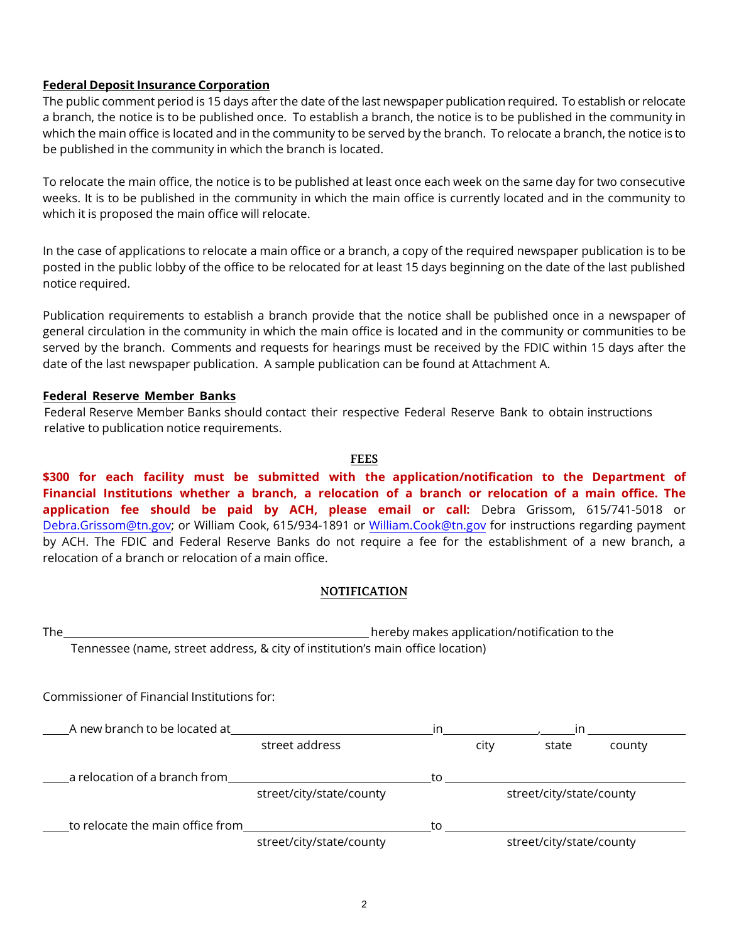### **Federal Deposit Insurance Corporation**

The public comment period is 15 days after the date of the last newspaper publication required. To establish or relocate a branch, the notice is to be published once. To establish a branch, the notice is to be published in the community in which the main office is located and in the community to be served by the branch. To relocate a branch, the notice is to be published in the community in which the branch is located.

To relocate the main office, the notice is to be published at least once each week on the same day for two consecutive weeks. It is to be published in the community in which the main office is currently located and in the community to which it is proposed the main office will relocate.

In the case of applications to relocate a main office or a branch, a copy of the required newspaper publication is to be posted in the public lobby of the office to be relocated for at least 15 days beginning on the date of the last published notice required.

Publication requirements to establish a branch provide that the notice shall be published once in a newspaper of general circulation in the community in which the main office is located and in the community or communities to be served by the branch. Comments and requests for hearings must be received by the FDIC within 15 days after the date of the last newspaper publication. A sample publication can be found at Attachment A.

### **Federal Reserve Member Banks**

Federal Reserve Member Banks should contact their respective Federal Reserve Bank to obtain instructions relative to publication notice requirements.

#### **FEES**

**\$300 for each facility must be submitted with the application/notification to the Department of Financial Institutions whether a branch, a relocation of a branch or relocation of a main office. The application fee should be paid by ACH, please email or call:** Debra Grissom, 615/741-5018 or [Debra.Grissom@tn.gov;](mailto:Debra.Grissom@tn.gov) or William Cook, 615/934-1891 or [William.Cook@tn.gov](mailto:William.Cook@tn.gov) for instructions regarding payment by ACH. The FDIC and Federal Reserve Banks do not require a fee for the establishment of a new branch, a relocation of a branch or relocation of a main office.

#### **NOTIFICATION**

The hereby makes application/notification to the Tennessee (name, street address, & city of institution's main office location)

Commissioner of Financial Institutions for:

| A new branch to be located at    |                          | in. |                          | in.                      |        |
|----------------------------------|--------------------------|-----|--------------------------|--------------------------|--------|
|                                  | street address           |     | city                     | state                    | county |
| a relocation of a branch from    |                          | to. |                          |                          |        |
|                                  | street/city/state/county |     | street/city/state/county |                          |        |
| to relocate the main office from |                          | to  |                          |                          |        |
|                                  | street/city/state/county |     |                          | street/city/state/county |        |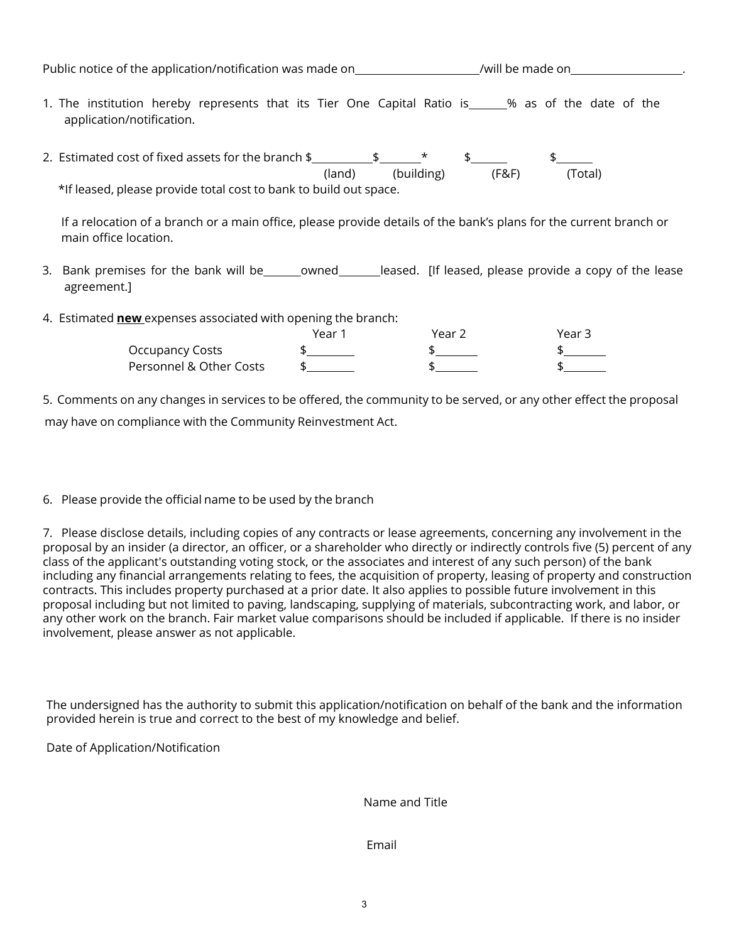| Public notice of the application/notification was made on                                                                                                                     |                      | /will be made on the set of the set of the set of the set of the set of the set of the set of the set of the s |
|-------------------------------------------------------------------------------------------------------------------------------------------------------------------------------|----------------------|----------------------------------------------------------------------------------------------------------------|
| 1. The institution hereby represents that its Tier One Capital Ratio is______% as of the date of the<br>application/notification.                                             |                      |                                                                                                                |
| 2. Estimated cost of fixed assets for the branch $\frac{1}{2}$ $\frac{1}{2}$ $\frac{1}{2}$ $\frac{1}{2}$<br>*If leased, please provide total cost to bank to build out space. | (building)<br>(land) | (Total)<br>(F&F)                                                                                               |
| If a relocation of a branch or a main office, please provide details of the bank's plans for the current branch or<br>main office location.                                   |                      |                                                                                                                |
| . Each constant for the head will have a consequence of the and officers the consequence of the local                                                                         |                      |                                                                                                                |

- 3. Bank premises for the bank will be cowned eased. [If leased, please provide a copy of the lease agreement.]
- 4. Estimated **new** expenses associated with opening the branch:

|                         | Year | Year $\lambda$ | Year 3 |
|-------------------------|------|----------------|--------|
| Occupancy Costs         |      |                |        |
| Personnel & Other Costs |      |                |        |

5. Comments on any changes in services to be offered, the community to be served, or any other effect the proposal may have on compliance with the Community Reinvestment Act.

6. Please provide the official name to be used by the branch

7. Please disclose details, including copies of any contracts or lease agreements, concerning any involvement in the proposal by an insider (a director, an officer, or a shareholder who directly or indirectly controls five (5) percent of any class of the applicant's outstanding voting stock, or the associates and interest of any such person) of the bank including any financial arrangements relating to fees, the acquisition of property, leasing of property and construction contracts. This includes property purchased at a prior date. It also applies to possible future involvement in this proposal including but not limited to paving, landscaping, supplying of materials, subcontracting work, and labor, or any other work on the branch. Fair market value comparisons should be included if applicable. If there is no insider involvement, please answer as not applicable.

The undersigned has the authority to submit this application/notification on behalf of the bank and the information provided herein is true and correct to the best of my knowledge and belief.

Date of Application/Notification

Name and Title

Email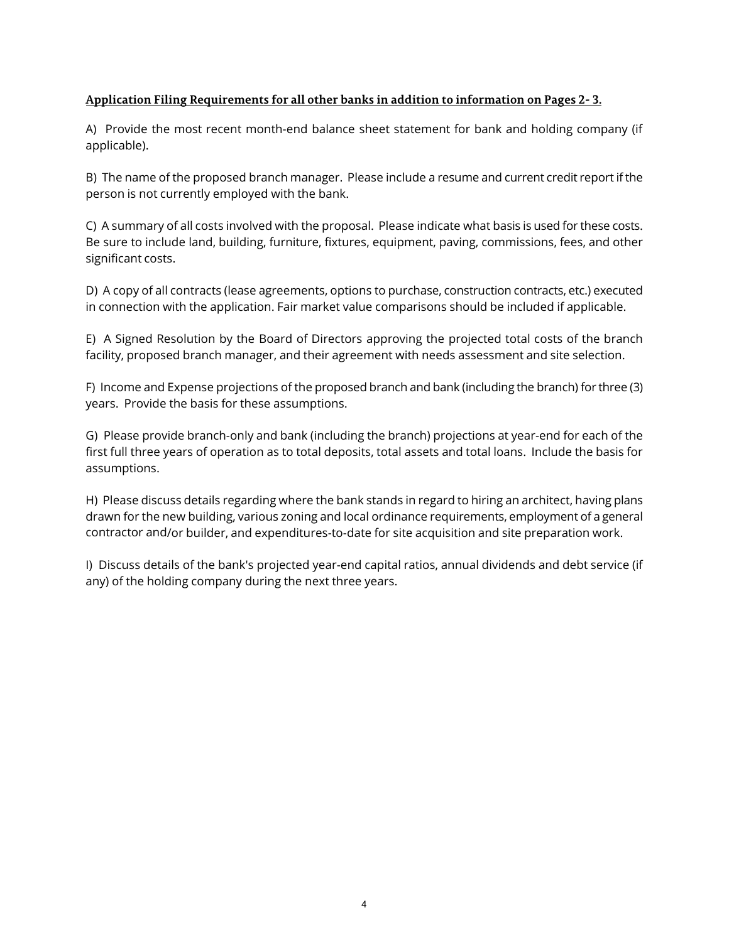# **Application Filing Requirements for all other banks in addition to information on Pages 2- 3.**

A) Provide the most recent month-end balance sheet statement for bank and holding company (if applicable).

B) The name of the proposed branch manager. Please include a resume and current credit report if the person is not currently employed with the bank.

C) A summary of all costs involved with the proposal. Please indicate what basis is used for these costs. Be sure to include land, building, furniture, fixtures, equipment, paving, commissions, fees, and other significant costs.

D) A copy of all contracts (lease agreements, options to purchase, construction contracts, etc.) executed in connection with the application. Fair market value comparisons should be included if applicable.

E) A Signed Resolution by the Board of Directors approving the projected total costs of the branch facility, proposed branch manager, and their agreement with needs assessment and site selection.

F) Income and Expense projections of the proposed branch and bank (including the branch) for three (3) years. Provide the basis for these assumptions.

G) Please provide branch-only and bank (including the branch) projections at year-end for each of the first full three years of operation as to total deposits, total assets and total loans. Include the basis for assumptions.

H) Please discuss details regarding where the bank stands in regard to hiring an architect, having plans drawn for the new building, various zoning and local ordinance requirements, employment of a general contractor and/or builder, and expenditures-to-date for site acquisition and site preparation work.

I) Discuss details of the bank's projected year-end capital ratios, annual dividends and debt service (if any) of the holding company during the next three years.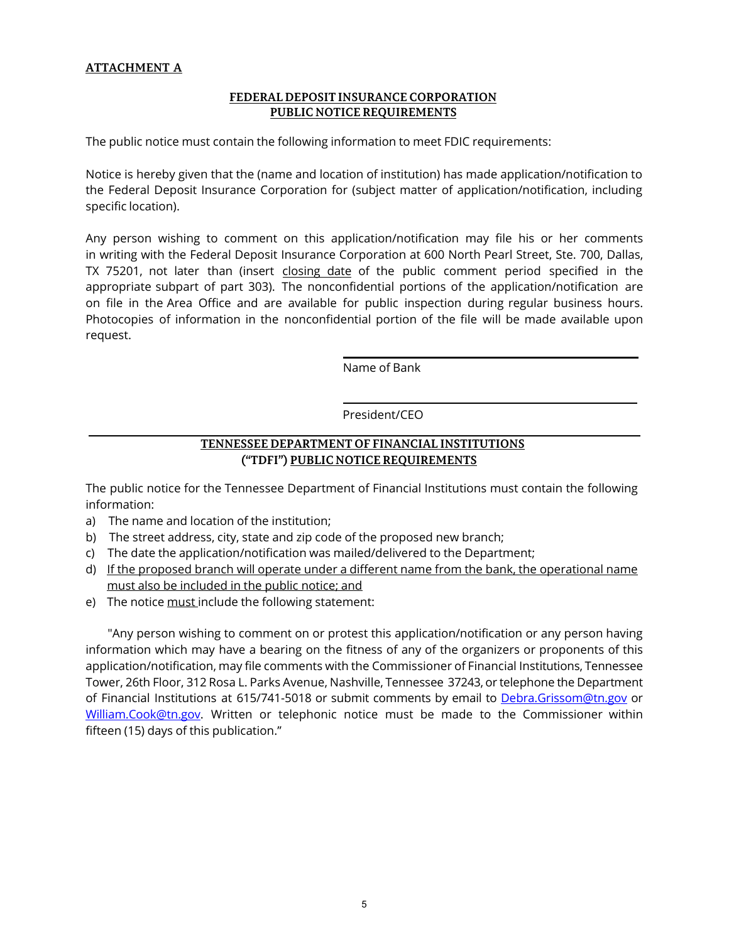# **ATTACHMENT A**

#### **FEDERAL DEPOSIT INSURANCE CORPORATION PUBLIC NOTICE REQUIREMENTS**

The public notice must contain the following information to meet FDIC requirements:

Notice is hereby given that the (name and location of institution) has made application/notification to the Federal Deposit Insurance Corporation for (subject matter of application/notification, including specific location).

Any person wishing to comment on this application/notification may file his or her comments in writing with the Federal Deposit Insurance Corporation at 600 North Pearl Street, Ste. 700, Dallas, TX 75201, not later than (insert closing date of the public comment period specified in the appropriate subpart of part 303). The nonconfidential portions of the application/notification are on file in the Area Office and are available for public inspection during regular business hours. Photocopies of information in the nonconfidential portion of the file will be made available upon request.

Name of Bank

President/CEO

# **TENNESSEE DEPARTMENT OF FINANCIAL INSTITUTIONS ("TDFI") PUBLIC NOTICE REQUIREMENTS**

The public notice for the Tennessee Department of Financial Institutions must contain the following information:

- a) The name and location of the institution;
- b) The street address, city, state and zip code of the proposed new branch;
- c) The date the application/notification was mailed/delivered to the Department;
- d) If the proposed branch will operate under a different name from the bank, the operational name must also be included in the public notice; and
- e) The notice must include the following statement:

"Any person wishing to comment on or protest this application/notification or any person having information which may have a bearing on the fitness of any of the organizers or proponents of this application/notification, may file comments with the Commissioner of Financial Institutions, Tennessee Tower, 26th Floor, 312 Rosa L. Parks Avenue, Nashville, Tennessee 37243, or telephone the Department of Financial Institutions at 615/741-5018 or submit comments by email to [Debra.Grissom@tn.gov](mailto:Debra.Grissom@tn.gov) or [William.Cook@tn.gov.](mailto:William.Cook@tn.gov) Written or telephonic notice must be made to the Commissioner within fifteen (15) days of this publication."